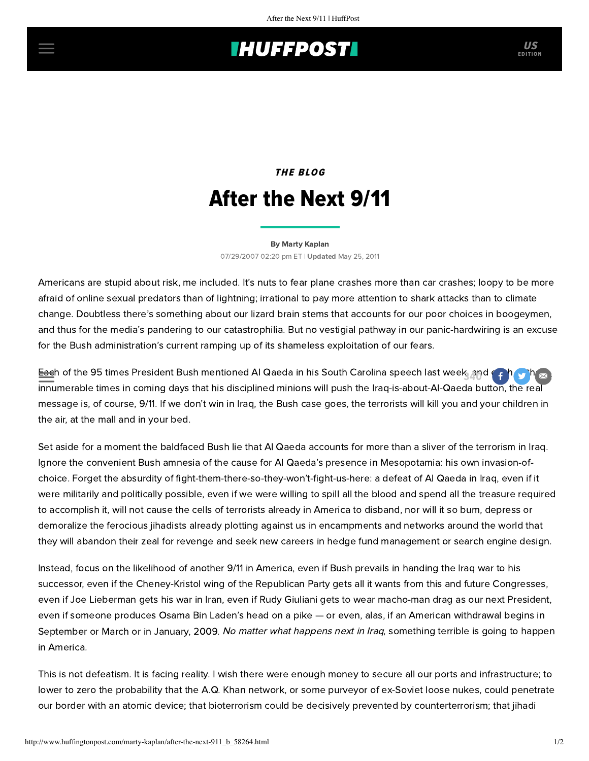## **INUFFPOST**

# THE BLOG After the Next 9/11

### [By Marty Kaplan](http://www.huffingtonpost.com/author/marty-kaplan) 07/29/2007 02:20 pm ET | Updated May 25, 2011

Americans are stupid about risk, me included. It's nuts to fear plane crashes more than car crashes; loopy to be more afraid of online sexual predators than of lightning; irrational to pay more attention to shark attacks than to climate change. Doubtless there's something about our lizard brain stems that accounts for our poor choices in boogeymen, and thus for the media's pandering to our catastrophilia. But no vestigial pathway in our panic-hardwiring is an excuse for the Bush administration's current ramping up of its shameless exploitation of our fears.

Each of the 95 times President Bush mentioned Al Qaeda in his South Carolina speech last week, and each of the <sup>340</sup> innumerable times in coming days that his disciplined minions will push the Iraq-is-about-Al-Qaeda button, the real message is, of course, 9/11. If we don't win in Iraq, the Bush case goes, the terrorists will kill you and your children in the air, at the mall and in your bed.

Set aside for a moment the baldfaced Bush lie that Al Qaeda accounts for more than a sliver of the terrorism in Iraq. Ignore the convenient Bush amnesia of the cause for Al Qaeda's presence in Mesopotamia: his own invasion-ofchoice. Forget the absurdity of fight-them-there-so-they-won't-fight-us-here: a defeat of Al Qaeda in Iraq, even if it were militarily and politically possible, even if we were willing to spill all the blood and spend all the treasure required to accomplish it, will not cause the cells of terrorists already in America to disband, nor will it so bum, depress or demoralize the ferocious jihadists already plotting against us in encampments and networks around the world that they will abandon their zeal for revenge and seek new careers in hedge fund management or search engine design.

Instead, focus on the likelihood of another 9/11 in America, even if Bush prevails in handing the Iraq war to his successor, even if the Cheney-Kristol wing of the Republican Party gets all it wants from this and future Congresses, even if Joe Lieberman gets his war in Iran, even if Rudy Giuliani gets to wear macho-man drag as our next President, even if someone produces Osama Bin Laden's head on a pike — or even, alas, if an American withdrawal begins in September or March or in January, 2009. No matter what happens next in Iraq, something terrible is going to happen in America.

This is not defeatism. It is facing reality. I wish there were enough money to secure all our ports and infrastructure; to lower to zero the probability that the A.Q. Khan network, or some purveyor of ex-Soviet loose nukes, could penetrate our border with an atomic device; that bioterrorism could be decisively prevented by counterterrorism; that jihadi